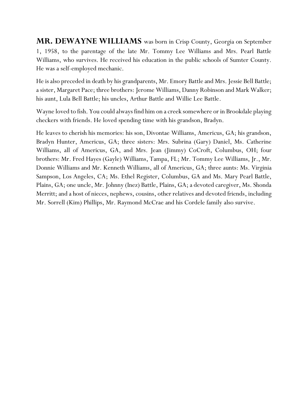**MR. DEWAYNE WILLIAMS** was born in Crisp County, Georgia on September 1, 1958, to the parentage of the late Mr. Tommy Lee Williams and Mrs. Pearl Battle Williams, who survives. He received his education in the public schools of Sumter County. He was a self-employed mechanic.

He is also preceded in death by his grandparents, Mr. Emory Battle and Mrs. Jessie Bell Battle; a sister, Margaret Pace; three brothers: Jerome Williams, Danny Robinson and Mark Walker; his aunt, Lula Bell Battle; his uncles, Arthur Battle and Willie Lee Battle.

Wayne loved to fish. You could always find him on a creek somewhere or in Brookdale playing checkers with friends. He loved spending time with his grandson, Bradyn.

He leaves to cherish his memories: his son, Divontae Williams, Americus, GA; his grandson, Bradyn Hunter, Americus, GA; three sisters: Mrs. Subrina (Gary) Daniel, Ms. Catherine Williams, all of Americus, GA, and Mrs. Jean (Jimmy) CoCroft, Columbus, OH; four brothers: Mr. Fred Hayes (Gayle) Williams, Tampa, FL; Mr. Tommy Lee Williams, Jr., Mr. Donnie Williams and Mr. Kenneth Williams, all of Americus, GA; three aunts: Ms. Virginia Sampson, Los Angeles, CA; Ms. Ethel Register, Columbus, GA and Ms. Mary Pearl Battle, Plains, GA; one uncle, Mr. Johnny (Inez) Battle, Plains, GA; a devoted caregiver, Ms. Shonda Merritt; and a host of nieces, nephews, cousins, other relatives and devoted friends, including Mr. Sorrell (Kim) Phillips, Mr. Raymond McCrae and his Cordele family also survive.